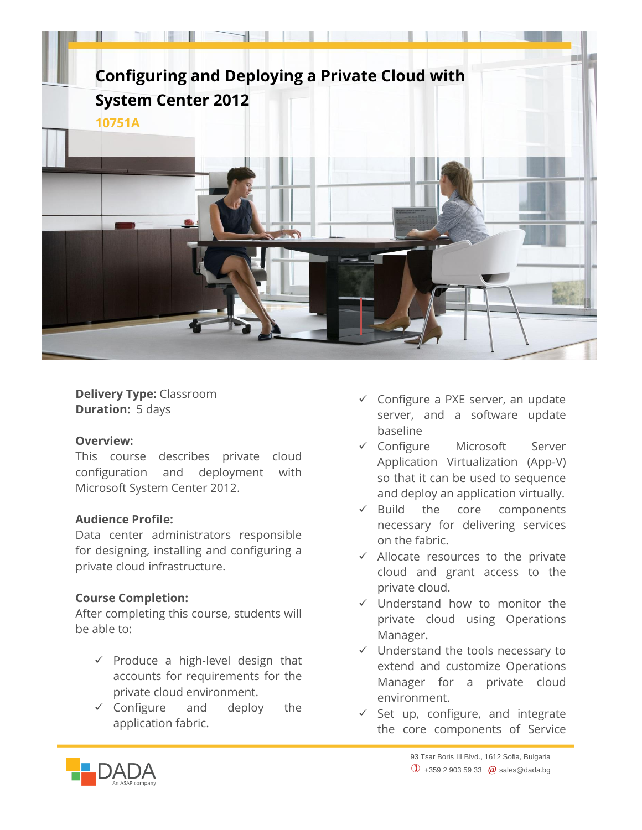

**Delivery Type:** Classroom **Duration:** 5 days

## **Overview:**

This course describes private cloud configuration and deployment with Microsoft System Center 2012.

## **Audience Profile:**

Data center administrators responsible for designing, installing and configuring a private cloud infrastructure.

## **Course Completion:**

After completing this course, students will be able to:

- $\checkmark$  Produce a high-level design that accounts for requirements for the private cloud environment.
- $\checkmark$  Configure and deploy the application fabric.
- $\checkmark$  Configure a PXE server, an update server, and a software update baseline
- Configure Microsoft Server Application Virtualization (App-V) so that it can be used to sequence and deploy an application virtually.
- $\checkmark$  Build the core components necessary for delivering services on the fabric.
- $\checkmark$  Allocate resources to the private cloud and grant access to the private cloud.
- $\checkmark$  Understand how to monitor the private cloud using Operations Manager.
- $\checkmark$  Understand the tools necessary to extend and customize Operations Manager for a private cloud environment.
- $\checkmark$  Set up, configure, and integrate the core components of Service